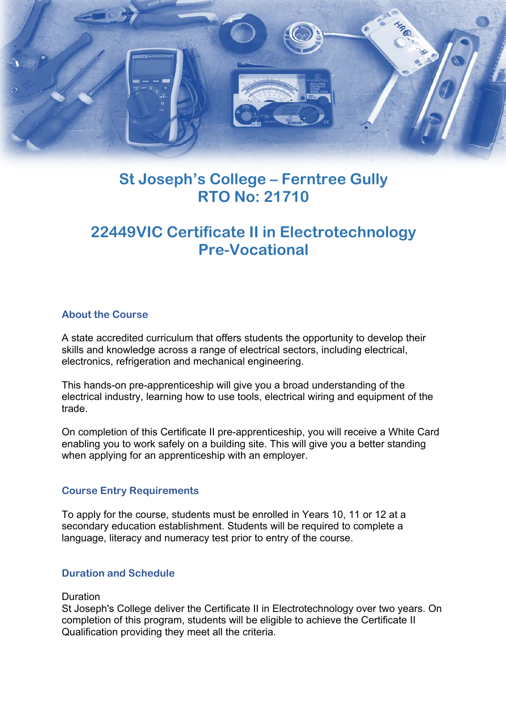

# **St Joseph's College – Ferntree Gully RTO No: 21710**

# **22449VIC Certificate II in Electrotechnology Pre-Vocational**

### **About the Course**

A state accredited curriculum that offers students the opportunity to develop their skills and knowledge across a range of electrical sectors, including electrical, electronics, refrigeration and mechanical engineering.

This hands-on pre-apprenticeship will give you a broad understanding of the electrical industry, learning how to use tools, electrical wiring and equipment of the trade.

On completion of this Certificate II pre-apprenticeship, you will receive a White Card enabling you to work safely on a building site. This will give you a better standing when applying for an apprenticeship with an employer.

### **Course Entry Requirements**

To apply for the course, students must be enrolled in Years 10, 11 or 12 at a secondary education establishment. Students will be required to complete a language, literacy and numeracy test prior to entry of the course.

# **Duration and Schedule**

#### **Duration**

St Joseph's College deliver the Certificate II in Electrotechnology over two years. On completion of this program, students will be eligible to achieve the Certificate II Qualification providing they meet all the criteria.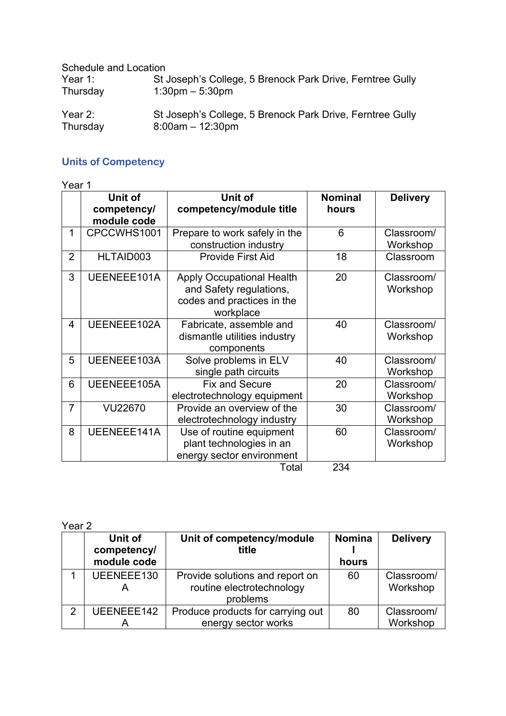Schedule and Location

| Year $1$ : | St Joseph's College, 5 Brenock Park Drive, Ferntree Gully |
|------------|-----------------------------------------------------------|
| Thursday   | $1:30 \text{pm} - 5:30 \text{pm}$                         |
| Year $2:$  | St Joseph's College, 5 Brenock Park Drive, Ferntree Gully |
| Thursday   | $8:00am - 12:30pm$                                        |

# **Units of Competency**

Year 1

|                | Unit of<br>competency/<br>module code | Unit of<br>competency/module title                                                                     | <b>Nominal</b><br>hours | <b>Delivery</b>        |
|----------------|---------------------------------------|--------------------------------------------------------------------------------------------------------|-------------------------|------------------------|
| 1              | CPCCWHS1001                           | Prepare to work safely in the<br>construction industry                                                 | 6                       | Classroom/<br>Workshop |
| $\overline{2}$ | HLTAID003                             | Provide First Aid                                                                                      | 18                      | Classroom              |
| 3              | UEENEEE101A                           | <b>Apply Occupational Health</b><br>and Safety regulations,<br>codes and practices in the<br>workplace | 20                      | Classroom/<br>Workshop |
| 4              | UEENEEE102A                           | Fabricate, assemble and<br>dismantle utilities industry<br>components                                  | 40                      | Classroom/<br>Workshop |
| 5              | UEENEEE103A                           | Solve problems in ELV<br>single path circuits                                                          | 40                      | Classroom/<br>Workshop |
| 6              | UEENEEE105A                           | <b>Fix and Secure</b><br>electrotechnology equipment                                                   | 20                      | Classroom/<br>Workshop |
| $\overline{7}$ | <b>VU22670</b>                        | Provide an overview of the<br>electrotechnology industry                                               | 30                      | Classroom/<br>Workshop |
| 8              | UEENEEE141A                           | Use of routine equipment<br>plant technologies in an<br>energy sector environment<br>$T \cap f \cap I$ | 60<br>つつれ               | Classroom/<br>Workshop |

Total 234

Year 2

|   | Unit of<br>competency/<br>module code | Unit of competency/module<br>title                                       | <b>Nomina</b><br>hours | <b>Delivery</b>        |
|---|---------------------------------------|--------------------------------------------------------------------------|------------------------|------------------------|
|   | UEENEEE130                            | Provide solutions and report on<br>routine electrotechnology<br>problems | 60                     | Classroom/<br>Workshop |
| っ | UEENEEE142                            | Produce products for carrying out<br>energy sector works                 | 80                     | Classroom/<br>Workshop |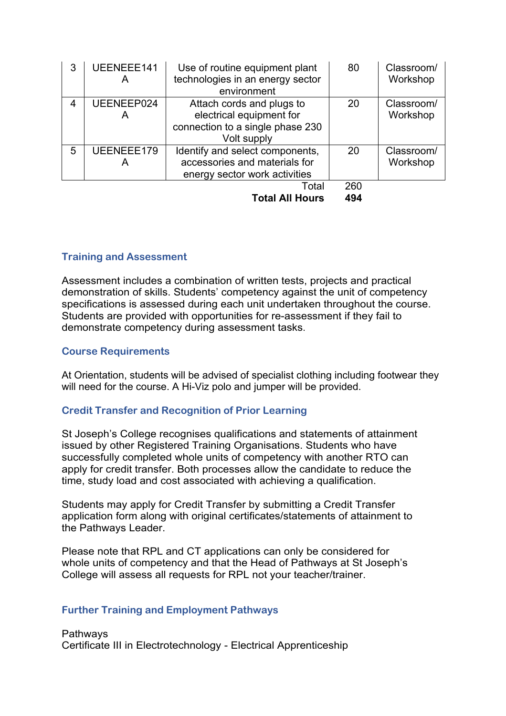| 3 | UEENEEE141      | Use of routine equipment plant<br>technologies in an energy sector<br>environment                        | 80  | Classroom/<br>Workshop |
|---|-----------------|----------------------------------------------------------------------------------------------------------|-----|------------------------|
| 4 | UEENEEP024<br>A | Attach cords and plugs to<br>electrical equipment for<br>connection to a single phase 230<br>Volt supply | 20  | Classroom/<br>Workshop |
| 5 | UEENEEE179<br>А | Identify and select components,<br>accessories and materials for<br>energy sector work activities        | 20  | Classroom/<br>Workshop |
|   |                 | Total                                                                                                    | 260 |                        |
|   |                 | <b>Total All Hours</b>                                                                                   | 494 |                        |

# **Training and Assessment**

Assessment includes a combination of written tests, projects and practical demonstration of skills. Students' competency against the unit of competency specifications is assessed during each unit undertaken throughout the course. Students are provided with opportunities for re-assessment if they fail to demonstrate competency during assessment tasks.

### **Course Requirements**

At Orientation, students will be advised of specialist clothing including footwear they will need for the course. A Hi-Viz polo and jumper will be provided.

# **Credit Transfer and Recognition of Prior Learning**

St Joseph's College recognises qualifications and statements of attainment issued by other Registered Training Organisations. Students who have successfully completed whole units of competency with another RTO can apply for credit transfer. Both processes allow the candidate to reduce the time, study load and cost associated with achieving a qualification.

Students may apply for Credit Transfer by submitting a Credit Transfer application form along with original certificates/statements of attainment to the Pathways Leader.

Please note that RPL and CT applications can only be considered for whole units of competency and that the Head of Pathways at St Joseph's College will assess all requests for RPL not your teacher/trainer.

#### **Further Training and Employment Pathways**

Pathways Certificate III in Electrotechnology - Electrical Apprenticeship